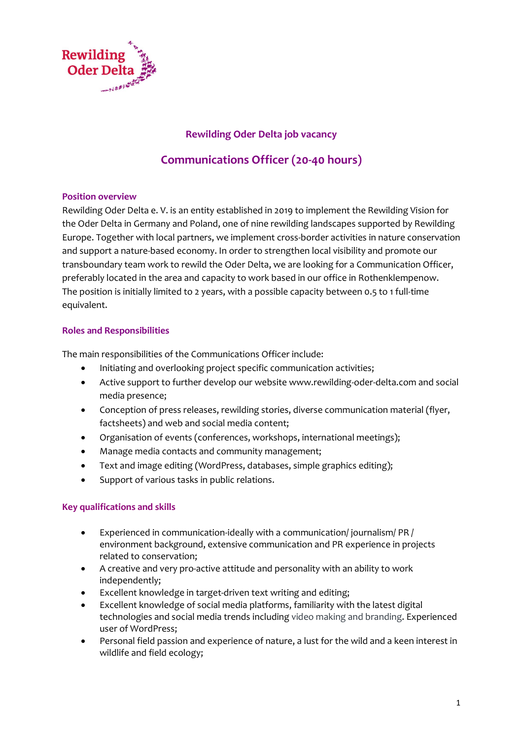

# Rewilding Oder Delta job vacancy

# Communications Officer (20-40 hours)

### Position overview

Rewilding Oder Delta e. V. is an entity established in 2019 to implement the Rewilding Vision for the Oder Delta in Germany and Poland, one of nine rewilding landscapes supported by Rewilding Europe. Together with local partners, we implement cross-border activities in nature conservation and support a nature-based economy. In order to strengthen local visibility and promote our transboundary team work to rewild the Oder Delta, we are looking for a Communication Officer, preferably located in the area and capacity to work based in our office in Rothenklempenow. The position is initially limited to 2 years, with a possible capacity between 0.5 to 1 full-time equivalent.

# Roles and Responsibilities

The main responsibilities of the Communications Officer include:

- Initiating and overlooking project specific communication activities;
- Active support to further develop our website www.rewilding-oder-delta.com and social media presence;
- Conception of press releases, rewilding stories, diverse communication material (flyer, factsheets) and web and social media content;
- Organisation of events (conferences, workshops, international meetings);
- Manage media contacts and community management;
- Text and image editing (WordPress, databases, simple graphics editing);
- Support of various tasks in public relations.

### Key qualifications and skills

- Experienced in communication-ideally with a communication/ journalism/ PR / environment background, extensive communication and PR experience in projects related to conservation;
- A creative and very pro-active attitude and personality with an ability to work independently;
- Excellent knowledge in target-driven text writing and editing;
- Excellent knowledge of social media platforms, familiarity with the latest digital technologies and social media trends including video making and branding. Experienced user of WordPress;
- Personal field passion and experience of nature, a lust for the wild and a keen interest in wildlife and field ecology;